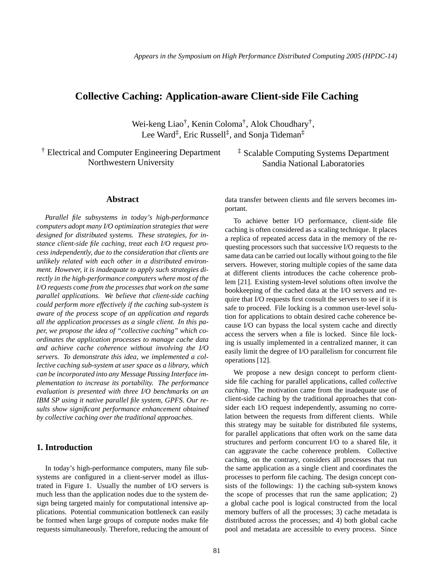# **Collective Caching: Application-aware Client-side File Caching**

Wei-keng Liao† , Kenin Coloma† , Alok Choudhary† , Lee Ward<sup>‡</sup>, Eric Russell<sup>‡</sup>, and Sonja Tideman<sup>‡</sup>

† Electrical and Computer Engineering Department Northwestern University

‡ Scalable Computing Systems Department Sandia National Laboratories

### **Abstract**

*Parallel file subsystems in today's high-performance computers adopt many I/O optimization strategies that were designed for distributed systems. These strategies, for instance client-side file caching, treat each I/O request process independently, due to the consideration that clients are unlikely related with each other in a distributed environment. However, it is inadequate to apply such strategies directly in the high-performance computers where most of the I/O requests come from the processes that work on the same parallel applications. We believe that client-side caching could perform more effectively if the caching sub-system is aware of the process scope of an application and regards all the application processes as a single client. In this paper, we propose the idea of "collective caching" which coordinates the application processes to manage cache data and achieve cache coherence without involving the I/O servers. To demonstrate this idea, we implemented a collective caching sub-system at user space as a library, which can be incorporated into any Message Passing Interface implementation to increase its portability. The performance evaluation is presented with three I/O benchmarks on an IBM SP using it native parallel file system, GPFS. Our results show significant performance enhancement obtained by collective caching over the traditional approaches.*

## **1. Introduction**

In today's high-performance computers, many file subsystems are configured in a client-server model as illustrated in Figure 1. Usually the number of I/O servers is much less than the application nodes due to the system design being targeted mainly for computational intensive applications. Potential communication bottleneck can easily be formed when large groups of compute nodes make file requests simultaneously. Therefore, reducing the amount of data transfer between clients and file servers becomes important.

To achieve better I/O performance, client-side file caching is often considered as a scaling technique. It places a replica of repeated access data in the memory of the requesting processors such that successive I/O requests to the same data can be carried out locally without going to the file servers. However, storing multiple copies of the same data at different clients introduces the cache coherence problem [21]. Existing system-level solutions often involve the bookkeeping of the cached data at the I/O servers and require that I/O requests first consult the servers to see if it is safe to proceed. File locking is a common user-level solution for applications to obtain desired cache coherence because I/O can bypass the local system cache and directly access the servers when a file is locked. Since file locking is usually implemented in a centralized manner, it can easily limit the degree of I/O parallelism for concurrent file operations [12].

We propose a new design concept to perform clientside file caching for parallel applications, called *collective caching*. The motivation came from the inadequate use of client-side caching by the traditional approaches that consider each I/O request independently, assuming no correlation between the requests from different clients. While this strategy may be suitable for distributed file systems, for parallel applications that often work on the same data structures and perform concurrent I/O to a shared file, it can aggravate the cache coherence problem. Collective caching, on the contrary, considers all processes that run the same application as a single client and coordinates the processes to perform file caching. The design concept consists of the followings: 1) the caching sub-system knows the scope of processes that run the same application; 2) a global cache pool is logical constructed from the local memory buffers of all the processes; 3) cache metadata is distributed across the processes; and 4) both global cache pool and metadata are accessible to every process. Since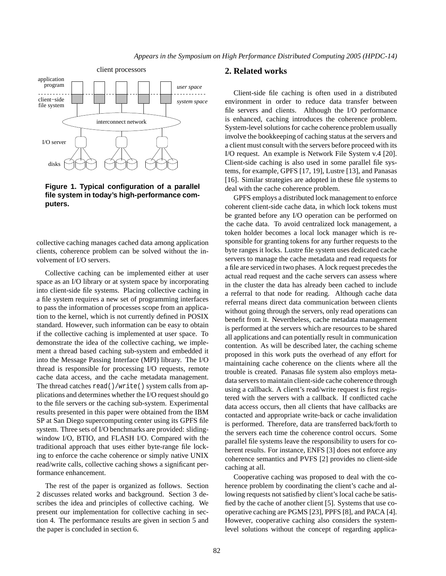

**Figure 1. Typical configuration of a parallel file system in today's high-performance computers.**

collective caching manages cached data among application clients, coherence problem can be solved without the involvement of I/O servers.

Collective caching can be implemented either at user space as an I/O library or at system space by incorporating into client-side file systems. Placing collective caching in a file system requires a new set of programming interfaces to pass the information of processes scope from an application to the kernel, which is not currently defined in POSIX standard. However, such information can be easy to obtain if the collective caching is implemented at user space. To demonstrate the idea of the collective caching, we implement a thread based caching sub-system and embedded it into the Message Passing Interface (MPI) library. The I/O thread is responsible for processing I/O requests, remote cache data access, and the cache metadata management. The thread catches read()/write() system calls from applications and determines whether the I/O request should go to the file servers or the caching sub-system. Experimental results presented in this paper were obtained from the IBM SP at San Diego supercomputing center using its GPFS file system. Three sets of I/O benchmarks are provided: slidingwindow I/O, BTIO, and FLASH I/O. Compared with the traditional approach that uses either byte-range file locking to enforce the cache coherence or simply native UNIX read/write calls, collective caching shows a significant performance enhancement.

The rest of the paper is organized as follows. Section 2 discusses related works and background. Section 3 describes the idea and principles of collective caching. We present our implementation for collective caching in section 4. The performance results are given in section 5 and the paper is concluded in section 6.

## **2. Related works**

Client-side file caching is often used in a distributed environment in order to reduce data transfer between file servers and clients. Although the I/O performance is enhanced, caching introduces the coherence problem. System-level solutions for cache coherence problem usually involve the bookkeeping of caching status at the servers and a client must consult with the servers before proceed with its I/O request. An example is Network File System v.4 [20]. Client-side caching is also used in some parallel file systems, for example, GPFS [17, 19], Lustre [13], and Panasas [16]. Similar strategies are adopted in these file systems to deal with the cache coherence problem.

GPFS employs a distributed lock management to enforce coherent client-side cache data, in which lock tokens must be granted before any I/O operation can be performed on the cache data. To avoid centralized lock management, a token holder becomes a local lock manager which is responsible for granting tokens for any further requests to the byte ranges it locks. Lustre file system uses dedicated cache servers to manage the cache metadata and read requests for a file are serviced in two phases. A lock request precedes the actual read request and the cache servers can assess where in the cluster the data has already been cached to include a referral to that node for reading. Although cache data referral means direct data communication between clients without going through the servers, only read operations can benefit from it. Nevertheless, cache metadata management is performed at the servers which are resources to be shared all applications and can potentially result in communication contention. As will be described later, the caching scheme proposed in this work puts the overhead of any effort for maintaining cache coherence on the clients where all the trouble is created. Panasas file system also employs metadata servers to maintain client-side cache coherence through using a callback. A client's read/write request is first registered with the servers with a callback. If conflicted cache data access occurs, then all clients that have callbacks are contacted and appropriate write-back or cache invalidation is performed. Therefore, data are transferred back/forth to the servers each time the coherence control occurs. Some parallel file systems leave the responsibility to users for coherent results. For instance, ENFS [3] does not enforce any coherence semantics and PVFS [2] provides no client-side caching at all.

Cooperative caching was proposed to deal with the coherence problem by coordinating the client's cache and allowing requests not satisfied by client's local cache be satisfied by the cache of another client [5]. Systems that use cooperative caching are PGMS [23], PPFS [8], and PACA [4]. However, cooperative caching also considers the systemlevel solutions without the concept of regarding applica-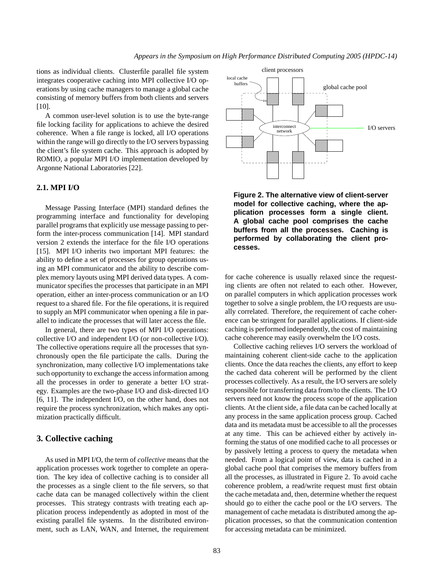tions as individual clients. Clusterfile parallel file system integrates cooperative caching into MPI collective I/O operations by using cache managers to manage a global cache consisting of memory buffers from both clients and servers [10].

A common user-level solution is to use the byte-range file locking facility for applications to achieve the desired coherence. When a file range is locked, all I/O operations within the range will go directly to the I/O servers bypassing the client's file system cache. This approach is adopted by ROMIO, a popular MPI I/O implementation developed by Argonne National Laboratories [22].

## **2.1. MPI I/O**

Message Passing Interface (MPI) standard defines the programming interface and functionality for developing parallel programs that explicitly use message passing to perform the inter-process communication [14]. MPI standard version 2 extends the interface for the file I/O operations [15]. MPI I/O inherits two important MPI features: the ability to define a set of processes for group operations using an MPI communicator and the ability to describe complex memory layouts using MPI derived data types. A communicator specifies the processes that participate in an MPI operation, either an inter-process communication or an I/O request to a shared file. For the file operations, it is required to supply an MPI communicator when opening a file in parallel to indicate the processes that will later access the file.

In general, there are two types of MPI I/O operations: collective I/O and independent I/O (or non-collective I/O). The collective operations require all the processes that synchronously open the file participate the calls. During the synchronization, many collective I/O implementations take such opportunity to exchange the access information among all the processes in order to generate a better I/O strategy. Examples are the two-phase I/O and disk-directed I/O [6, 11]. The independent I/O, on the other hand, does not require the process synchronization, which makes any optimization practically difficult.

## **3. Collective caching**

As used in MPI I/O, the term of *collective* means that the application processes work together to complete an operation. The key idea of collective caching is to consider all the processes as a single client to the file servers, so that cache data can be managed collectively within the client processes. This strategy contrasts with treating each application process independently as adopted in most of the existing parallel file systems. In the distributed environment, such as LAN, WAN, and Internet, the requirement



**Figure 2. The alternative view of client-server model for collective caching, where the application processes form a single client. A global cache pool comprises the cache buffers from all the processes. Caching is performed by collaborating the client processes.**

for cache coherence is usually relaxed since the requesting clients are often not related to each other. However, on parallel computers in which application processes work together to solve a single problem, the I/O requests are usually correlated. Therefore, the requirement of cache coherence can be stringent for parallel applications. If client-side caching is performed independently, the cost of maintaining cache coherence may easily overwhelm the I/O costs.

Collective caching relieves I/O servers the workload of maintaining coherent client-side cache to the application clients. Once the data reaches the clients, any effort to keep the cached data coherent will be performed by the client processes collectively. As a result, the I/O servers are solely responsible for transferring data from/to the clients. The I/O servers need not know the process scope of the application clients. Atthe client side, afile data can be cached locally at any process in the same application process group. Cached data and its metadata must be accessible to all the processes at any time. This can be achieved either by actively informing the status of one modified cache to all processes or by passively letting a process to query the metadata when needed. From a logical point of view, data is cached in a global cache pool that comprises the memory buffers from all the processes, as illustrated in Figure 2. To avoid cache coherence problem, a read/write request must first obtain the cache metadata and, then, determine whether the request should go to either the cache pool or the I/O servers. The management of cache metadata is distributed among the application processes, so that the communication contention for accessing metadata can be minimized.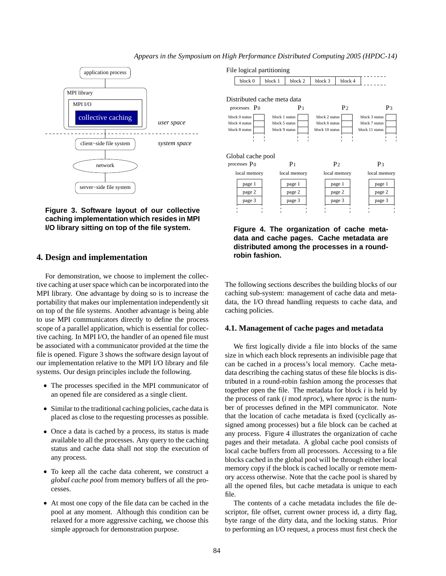

**Figure 3. Software layout of our collective caching implementation which resides in MPI I/O library sitting on top of the file system.**

## **4. Design and implementation**

For demonstration, we choose to implement the collective caching at user space which can be incorporated into the MPI library. One advantage by doing so is to increase the portability that makes our implementation independently sit on top of the file systems. Another advantage is being able to use MPI communicators directly to define the process scope of a parallel application, which is essential for collective caching. In MPI I/O, the handler of an opened file must be associated with a communicator provided at the time the file is opened. Figure 3 shows the software design layout of our implementation relative to the MPI I/O library and file systems. Our design principles include the following.

- The processes specified in the MPI communicator of an opened file are considered as a single client.
- Similar to the traditional caching policies, cache data is placed as close to the requesting processes as possible.
- Once a data is cached by a process, its status is made available to all the processes. Any query to the caching status and cache data shall not stop the execution of any process.
- To keep all the cache data coherent, we construct a *global cache pool* from memory buffers of all the processes.
- At most one copy of the file data can be cached in the pool at any moment. Although this condition can be relaxed for a more aggressive caching, we choose this simple approach for demonstration purpose.



**Figure 4. The organization of cache metadata and cache pages. Cache metadata are distributed among the processes in a roundrobin fashion.**

The following sections describes the building blocks of our caching sub-system: management of cache data and metadata, the I/O thread handling requests to cache data, and caching policies.

### **4.1. Management of cache pages and metadata**

We first logically divide a file into blocks of the same size in which each block represents an indivisible page that can be cached in a process's local memory. Cache metadata describing the caching status of these file blocks is distributed in a round-robin fashion among the processes that together open the file. The metadata for block *i* is held by the process of rank (*i* mod *nproc*), where *nproc* is the number of processes defined in the MPI communicator. Note that the location of cache metadata is fixed (cyclically assigned among processes) but a file block can be cached at any process. Figure 4 illustrates the organization of cache pages and their metadata. A global cache pool consists of local cache buffers from all processors. Accessing to a file blocks cached in the global pool will be through either local memory copy if the block is cached locally or remote memory access otherwise. Note that the cache pool is shared by all the opened files, but cache metadata is unique to each file.

The contents of a cache metadata includes the file descriptor, file offset, current owner process id, a dirty flag, byte range of the dirty data, and the locking status. Prior to performing an I/O request, a process must first check the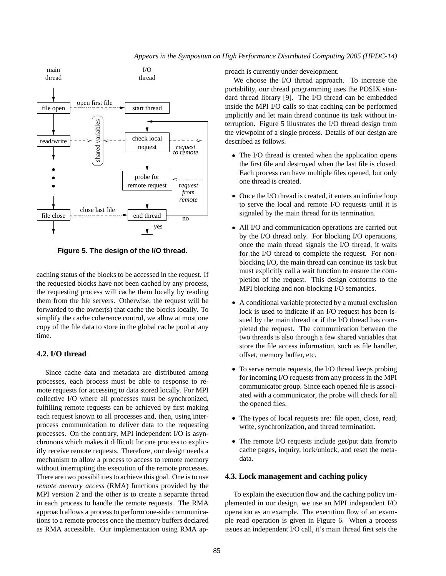

*Appears in the Symposium on High Performance Distributed Computing 2005 (HPDC-14)*

**Figure 5. The design of the I/O thread.**

caching status of the blocks to be accessed in the request. If the requested blocks have not been cached by any process, the requesting process will cache them locally by reading them from the file servers. Otherwise, the request will be forwarded to the owner(s) that cache the blocks locally. To simplify the cache coherence control, we allow at most one copy of the file data to store in the global cache pool at any time.

### **4.2. I/O thread**

Since cache data and metadata are distributed among processes, each process must be able to response to remote requests for accessing to data stored locally. For MPI collective I/O where all processes must be synchronized, fulfilling remote requests can be achieved by first making each request known to all processes and, then, using interprocess communication to deliver data to the requesting processes. On the contrary, MPI independent I/O is asynchronous which makes it difficult for one process to explicitly receive remote requests. Therefore, our design needs a mechanism to allow a process to access to remote memory without interrupting the execution of the remote processes. There are two possibilities to achieve this goal. One is to use *remote memory access* (RMA) functions provided by the MPI version 2 and the other is to create a separate thread in each process to handle the remote requests. The RMA approach allows a process to perform one-side communications to a remote process once the memory buffers declared as RMA accessible. Our implementation using RMA approach is currently under development.

We choose the I/O thread approach. To increase the portability, our thread programming uses the POSIX standard thread library [9]. The I/O thread can be embedded inside the MPI I/O calls so that caching can be performed implicitly and let main thread continue its task without interruption. Figure 5 illustrates the I/O thread design from the viewpoint of a single process. Details of our design are described as follows.

- The I/O thread is created when the application opens the first file and destroyed when the last file is closed. Each process can have multiple files opened, but only one thread is created.
- Once the I/O thread is created, it enters an infinite loop to serve the local and remote I/O requests until it is signaled by the main thread for its termination.
- All I/O and communication operations are carried out by the I/O thread only. For blocking I/O operations, once the main thread signals the I/O thread, it waits for the I/O thread to complete the request. For nonblocking I/O, the main thread can continue its task but must explicitly call a wait function to ensure the completion of the request. This design conforms to the MPI blocking and non-blocking I/O semantics.
- A conditional variable protected by a mutual exclusion lock is used to indicate if an I/O request has been issued by the main thread or if the I/O thread has completed the request. The communication between the two threads is also through a few shared variables that store the file access information, such as file handler, offset, memory buffer, etc.
- To serve remote requests, the I/O thread keeps probing for incoming I/O requests from any process in the MPI communicator group. Since each opened file is associated with a communicator, the probe will check for all the opened files.
- The types of local requests are: file open, close, read, write, synchronization, and thread termination.
- The remote I/O requests include get/put data from/to cache pages, inquiry, lock/unlock, and reset the metadata.

### **4.3. Lock management and caching policy**

To explain the execution flow and the caching policy implemented in our design, we use an MPI independent I/O operation as an example. The execution flow of an example read operation is given in Figure 6. When a process issues an independent I/O call, it's main thread first sets the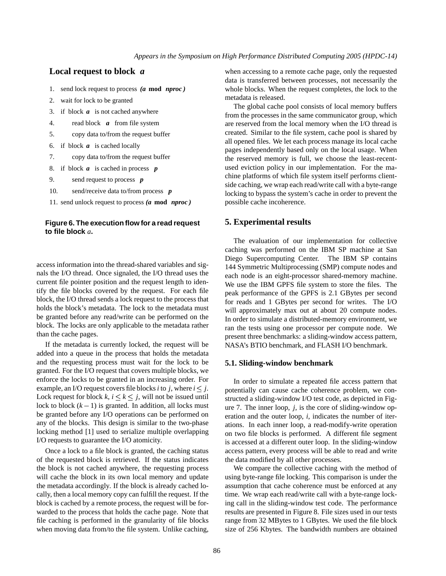## **Local request to block** *a*

- 1. send lock request to process (a mod nproc)
- 2. wait for lock to be granted
- 3. if block  $\boldsymbol{a}$  is not cached anywhere
- 4. read block **a** from file system
- 5. copy data to/from the request buffer
- 6. if block is cached locally *a*
- 7. copy data to/from the request buffer
- 8. if block  $\boldsymbol{a}$  is cached in process  $\boldsymbol{p}$
- 9. send request to process *p*
- 10. send/receive data to/from process *p*
- 11. send unlock request to process (a mod nproc)

### **Figure6. Theexecution flow foraread request to file block** *a***.**

access information into the thread-shared variables and signals the I/O thread. Once signaled, the I/O thread uses the current file pointer position and the request length to identify the file blocks covered by the request. For each file block, the I/O thread sends a lock request to the process that holds the block's metadata. The lock to the metadata must be granted before any read/write can be performed on the block. The locks are only applicable to the metadata rather than the cache pages.

If the metadata is currently locked, the request will be added into a queue in the process that holds the metadata and the requesting process must wait for the lock to be granted. For the I/O request that covers multiple blocks, we enforce the locks to be granted in an increasing order. For example, an I/O request covers file blocks *i* to *j*, where  $i \leq j$ . Lock request for block  $k, i \leq k \leq j$ , will not be issued until lock to block  $(k - 1)$  is granted. In addition, all locks must be granted before any I/O operations can be performed on any of the blocks. This design is similar to the two-phase locking method [1] used to serialize multiple overlapping I/O requests to guarantee the I/O atomicity.

Once a lock to a file block is granted, the caching status of the requested block is retrieved. If the status indicates the block is not cached anywhere, the requesting process will cache the block in its own local memory and update the metadata accordingly. If the block is already cached locally, then a local memory copy can fulfill the request. If the block is cached by a remote process, the request will be forwarded to the process that holds the cache page. Note that file caching is performed in the granularity of file blocks when moving data from/to the file system. Unlike caching,

when accessing to a remote cache page, only the requested data is transferred between processes, not necessarily the whole blocks. When the request completes, the lock to the metadata is released.

The global cache pool consists of local memory buffers from the processes in the same communicator group, which are reserved from the local memory when the I/O thread is created. Similar to the file system, cache pool is shared by all opened files. We let each process manage its local cache pages independently based only on the local usage. When the reserved memory is full, we choose the least-recentused eviction policy in our implementation. For the machine platforms of which file system itself performs clientside caching, we wrap each read/write call with a byte-range locking to bypass the system's cache in order to prevent the possible cache incoherence.

### **5. Experimental results**

The evaluation of our implementation for collective caching was performed on the IBM SP machine at San Diego Supercomputing Center. The IBM SP contains 144 Symmetric Multiprocessing (SMP) compute nodes and each node is an eight-processor shared-memory machine. We use the IBM GPFS file system to store the files. The peak performance of the GPFS is 2.1 GBytes per second for reads and 1 GBytes per second for writes. The I/O will approximately max out at about 20 compute nodes. In order to simulate a distributed-memory environment, we ran the tests using one processor per compute node. We present three benchmarks: a sliding-window access pattern, NASA's BTIO benchmark, and FLASH I/O benchmark.

#### **5.1. Sliding-window benchmark**

In order to simulate a repeated file access pattern that potentially can cause cache coherence problem, we constructed a sliding-window I/O test code, as depicted in Figure 7. The inner loop, *j*, is the core of sliding-window operation and the outer loop, *i*, indicates the number of iterations. In each inner loop, a read-modify-write operation on two file blocks is performed. A different file segment is accessed at a different outer loop. In the sliding-window access pattern, every process will be able to read and write the data modified by all other processes.

We compare the collective caching with the method of using byte-range file locking. This comparison is under the assumption that cache coherence must be enforced at any time. We wrap each read/write call with a byte-range locking call in the sliding-window test code. The performance results are presented in Figure 8. File sizes used in our tests range from 32 MBytes to 1 GBytes. We used the file block size of 256 Kbytes. The bandwidth numbers are obtained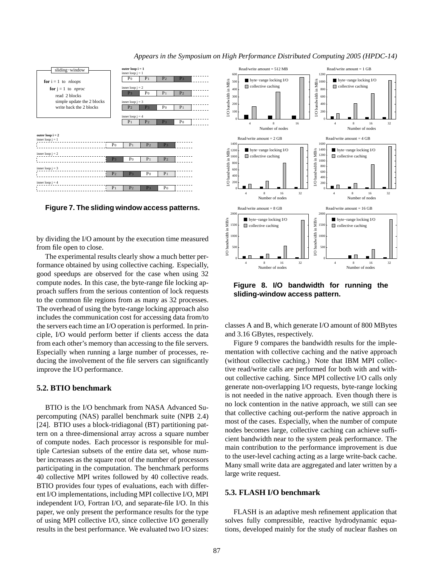

*Appears in the Symposium on High Performance Distributed Computing 2005 (HPDC-14)*

**Figure 7. The sliding window access patterns.** 

by dividing the I/O amount by the execution time measured from file open to close.

The experimental results clearly show a much better performance obtained by using collective caching. Especially, good speedups are observed for the case when using 32 compute nodes. In this case, the byte-range file locking approach suffers from the serious contention of lock requests to the common file regions from as many as 32 processes. The overhead of using the byte-range locking approach also includes the communication cost for accessing data from/to the servers each time an I/O operation is performed. In principle, I/O would perform better if clients access the data from each other's memory than accessing to the file servers. Especially when running a large number of processes, reducing the involvement of the file servers can significantly improve the I/O performance.

### **5.2. BTIO benchmark**

BTIO is the I/O benchmark from NASA Advanced Supercomputing (NAS) parallel benchmark suite (NPB 2.4) [24]. BTIO uses a block-tridiagonal (BT) partitioning pattern on a three-dimensional array across a square number of compute nodes. Each processor is responsible for multiple Cartesian subsets of the entire data set, whose number increases as the square root of the number of processors participating in the computation. The benchmark performs 40 collective MPI writes followed by 40 collective reads. BTIO provides four types of evaluations, each with different I/O implementations, including MPI collective I/O, MPI independent I/O, Fortran I/O, and separate-file I/O. In this paper, we only present the performance results for the type of using MPI collective I/O, since collective I/O generally results in the best performance. We evaluated two I/O sizes:



**Figure 8. I/O bandwidth for running the sliding-window access pattern.**

classes A and B, which generate I/O amount of 800 MBytes and 3.16 GBytes, respectively.

Figure 9 compares the bandwidth results for the implementation with collective caching and the native approach (without collective caching.) Note that IBM MPI collective read/write calls are performed for both with and without collective caching. Since MPI collective I/O calls only generate non-overlapping I/O requests, byte-range locking is not needed in the native approach. Even though there is no lock contention in the native approach, we still can see that collective caching out-perform the native approach in most of the cases. Especially, when the number of compute nodes becomes large, collective caching can achieve sufficient bandwidth near to the system peak performance. The main contribution to the performance improvement is due to the user-level caching acting as a large write-back cache. Many small write data are aggregated and later written by a large write request.

## **5.3. FLASH I/O benchmark**

FLASH is an adaptive mesh refinement application that solves fully compressible, reactive hydrodynamic equations, developed mainly for the study of nuclear flashes on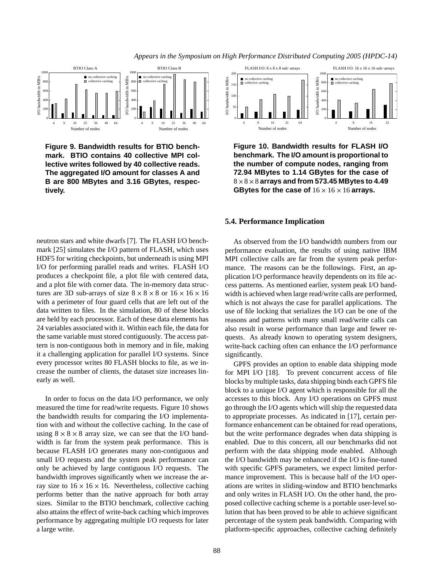*Appears in the Symposium on High Performance Distributed Computing 2005 (HPDC-14)*



**Figure 9. Bandwidth results for BTIO benchmark. BTIO contains 40 collective MPI collective writes followed by 40 collective reads. The aggregated I/O amount for classes A and B are 800 MBytes and 3.16 GBytes, respectively.**

neutron stars and white dwarfs [7]. The FLASH I/O benchmark [25] simulates the I/O pattern of FLASH, which uses HDF5 for writing checkpoints, but underneath is using MPI I/O for performing parallel reads and writes. FLASH I/O produces a checkpoint file, a plot file with centered data, and a plot file with corner data. The in-memory data structures are 3D sub-arrays of size  $8 \times 8 \times 8$  or  $16 \times 16 \times 16$ with a perimeter of four guard cells that are left out of the data written to files. In the simulation, 80 of these blocks are held by each processor. Each of these data elements has 24 variables associated with it. Within each file, the data for the same variable must stored contiguously. The access pattern is non-contiguous both in memory and in file, making it a challenging application for parallel I/O systems. Since every processor writes 80 FLASH blocks to file, as we increase the number of clients, the dataset size increases linearly as well.

In order to focus on the data I/O performance, we only measured the time for read/write requests. Figure 10 shows the bandwidth results for comparing the I/O implementation with and without the collective caching. In the case of using  $8 \times 8 \times 8$  array size, we can see that the I/O bandwidth is far from the system peak performance. This is because FLASH I/O generates many non-contiguous and small I/O requests and the system peak performance can only be achieved by large contiguous I/O requests. The bandwidth improves significantly when we increase the array size to  $16 \times 16 \times 16$ . Nevertheless, collective caching performs better than the native approach for both array sizes. Similar to the BTIO benchmark, collective caching also attains the effect of write-back caching which improves performance by aggregating multiple I/O requests for later a large write.



**Figure 10. Bandwidth results for FLASH I/O benchmark. TheI/O amount is proportional to the number of compute nodes, ranging from 72.94 MBytes to 1.14 GBytes for the case of**  $8 \times 8 \times 8$  arrays and from 573.45 MBytes to 4.49 **GBytes for the case of**  $16 \times 16 \times 16$  arrays.

#### **5.4. Performance Implication**

As observed from the I/O bandwidth numbers from our performance evaluation, the results of using native IBM MPI collective calls are far from the system peak performance. The reasons can be the followings. First, an application I/O performance heavily dependents on its file access patterns. As mentioned earlier, system peak I/O bandwidth is achieved when large read/write calls are performed, which is not always the case for parallel applications. The use of file locking that serializes the I/O can be one of the reasons and patterns with many small read/write calls can also result in worse performance than large and fewer requests. As already known to operating system designers, write-back caching often can enhance the I/O performance significantly.

GPFS provides an option to enable data shipping mode for MPI I/O [18]. To prevent concurrent access of file blocks by multiple tasks, data shipping binds each GPFS file block to a unique I/O agent which is responsible for all the accesses to this block. Any I/O operations on GPFS must go through the I/O agents which will ship the requested data to appropriate processes. As indicated in [17], certain performance enhancement can be obtained for read operations, but the write performance degrades when data shipping is enabled. Due to this concern, all our benchmarks did not perform with the data shipping mode enabled. Although the I/O bandwidth may be enhanced if the I/O is fine-tuned with specific GPFS parameters, we expect limited performance improvement. This is because half of the I/O operations are writes in sliding-window and BTIO benchmarks and only writes in FLASH I/O. On the other hand, the proposed collective caching scheme is a portable user-level solution that has been proved to be able to achieve significant percentage of the system peak bandwidth. Comparing with platform-specific approaches, collective caching definitely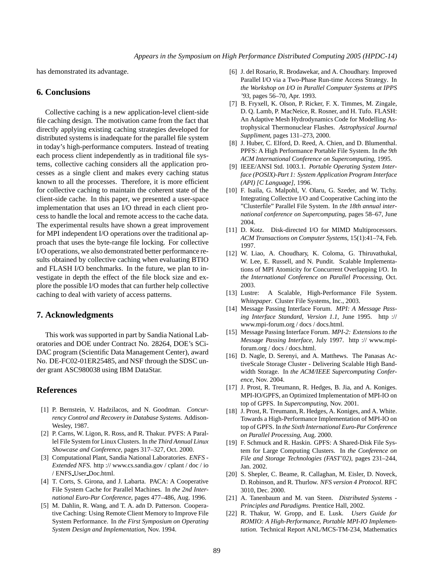has demonstrated its advantage.

### **6. Conclusions**

Collective caching is a new application-level client-side file caching design. The motivation came from the fact that directly applying existing caching strategies developed for distributed systems is inadequate for the parallel file system in today's high-performance computers. Instead of treating each process client independently as in traditional file systems, collective caching considers all the application processes as a single client and makes every caching status known to all the processes. Therefore, it is more efficient for collective caching to maintain the coherent state of the client-side cache. In this paper, we presented a user-space implementation that uses an I/O thread in each client process to handle the local and remote access to the cache data. The experimental results have shown a great improvement for MPI independent I/O operations over the traditional approach that uses the byte-range file locking. For collective I/O operations, we also demonstrated better performance results obtained by collective caching when evaluating BTIO and FLASH I/O benchmarks. In the future, we plan to investigate in depth the effect of the file block size and explore the possible I/O modes that can further help collective caching to deal with variety of access patterns.

### **7. Acknowledgments**

This work was supported in part by Sandia National Laboratories and DOE under Contract No. 28264, DOE's SCi-DAC program (Scientific Data Management Center), award No. DE-FC02-01ER25485, and NSF through the SDSC under grant ASC980038 using IBM DataStar.

## **References**

- [1] P. Bernstein, V. Hadzilacos, and N. Goodman. *Concurrency Control and Recovery in Database Systems*. Addison-Wesley, 1987.
- [2] P. Carns, W. Ligon, R. Ross, and R. Thakur. PVFS: A Parallel File System for Linux Clusters. In *the Third Annual Linux Showcase and Conference*, pages 317–327, Oct. 2000.
- [3] Computational Plant, Sandia National Laboratories. *ENFS - Extended NFS*. http :// www.cs.sandia.gov / cplant / doc / io / ENFS User Doc.html.
- [4] T. Corts, S. Girona, and J. Labarta. PACA: A Cooperative File System Cache for Parallel Machines. In *the 2nd International Euro-Par Conference*, pages 477–486, Aug. 1996.
- [5] M. Dahlin, R. Wang, and T. A. adn D. Patterson. Cooperative Caching: Using Remote Client Memory to Improve File System Performance. In *the First Symposium on Operating System Design and Implementation*, Nov. 1994.
- [6] J. del Rosario, R. Brodawekar, and A. Choudhary. Improved Parallel I/O via a Two-Phase Run-time Access Strategy. In *the Workshop on I/O in Parallel Computer Systems at IPPS '93*, pages 56–70, Apr. 1993.
- [7] B. Fryxell, K. Olson, P. Ricker, F. X. Timmes, M. Zingale, D. Q. Lamb, P. MacNeice, R. Rosner, and H. Tufo. FLASH: An Adaptive Mesh Hydrodynamics Code for Modelling Astrophysical Thermonuclear Flashes. *Astrophysical Journal Suppliment*, pages 131–273, 2000.
- [8] J. Huber, C. Elford, D. Reed, A. Chien, and D. Blumenthal. PPFS: A High Performance Portable File System. In *the 9th ACM International Conference on Supercomputing*, 1995.
- [9] IEEE/ANSI Std. 1003.1. *Portable Operating System Interface (POSIX)-Part 1: System Application Program Interface (API) [C Language]*, 1996.
- [10] F. Isaila, G. Malpohl, V. Olaru, G. Szeder, and W. Tichy. Integrating Collective I/O and Cooperative Caching into the "Clusterfile" Parallel File System. In *the 18th annual international conference on Supercomputing*, pages 58–67, June 2004.
- [11] D. Kotz. Disk-directed I/O for MIMD Multiprocessors. *ACM Transactions on Computer Systems*, 15(1):41–74, Feb. 1997.
- [12] W. Liao, A. Choudhary, K. Coloma, G. Thiruvathukal, W. Lee, E. Russell, and N. Pundit. Scalable Implementations of MPI Atomicity for Concurrent Overlapping I/O. In *the International Conference on Parallel Processing*, Oct. 2003.
- [13] Lustre: A Scalable, High-Performance File System. *Whitepaper*. Cluster File Systems, Inc., 2003.
- [14] Message Passing Interface Forum. *MPI: A Message Passing Interface Standard, Version 1.1*, June 1995. http :// www.mpi-forum.org / docs / docs.html.
- [15] Message Passing Interface Forum. *MPI-2: Extensions to the Message Passing Interface*, July 1997. http :// www.mpiforum.org / docs / docs.html.
- [16] D. Nagle, D. Serenyi, and A. Matthews. The Panasas ActiveScale Storage Cluster - Delivering Scalable High Bandwidth Storage. In *the ACM/IEEE Supercomputing Conference*, Nov. 2004.
- [17] J. Prost, R. Treumann, R. Hedges, B. Jia, and A. Koniges. MPI-IO/GPFS, an Optimized Implementation of MPI-IO on top of GPFS. In *Supercomputing*, Nov. 2001.
- [18] J. Prost, R. Treumann, R. Hedges, A. Koniges, and A. White. Towards a High-Performance Implementation of MPI-IO on top of GPFS. In *the Sixth International Euro-Par Conference on Parallel Processing*, Aug. 2000.
- [19] F. Schmuck and R. Haskin. GPFS: A Shared-Disk File System for Large Computing Clusters. In *the Conference on File and Storage Technologies (FAST'02)*, pages 231–244, Jan. 2002.
- [20] S. Shepler, C. Beame, R. Callaghan, M. Eisler, D. Noveck, D. Robinson, and R. Thurlow. *NFS version 4 Protocol*. RFC 3010, Dec. 2000.
- [21] A. Tanenbaum and M. van Steen. *Distributed Systems - Principles and Paradigms*. Prentice Hall, 2002.
- [22] R. Thakur, W. Gropp, and E. Lusk. *Users Guide for ROMIO: A High-Performance, Portable MPI-IO Implementation*. Technical Report ANL/MCS-TM-234, Mathematics